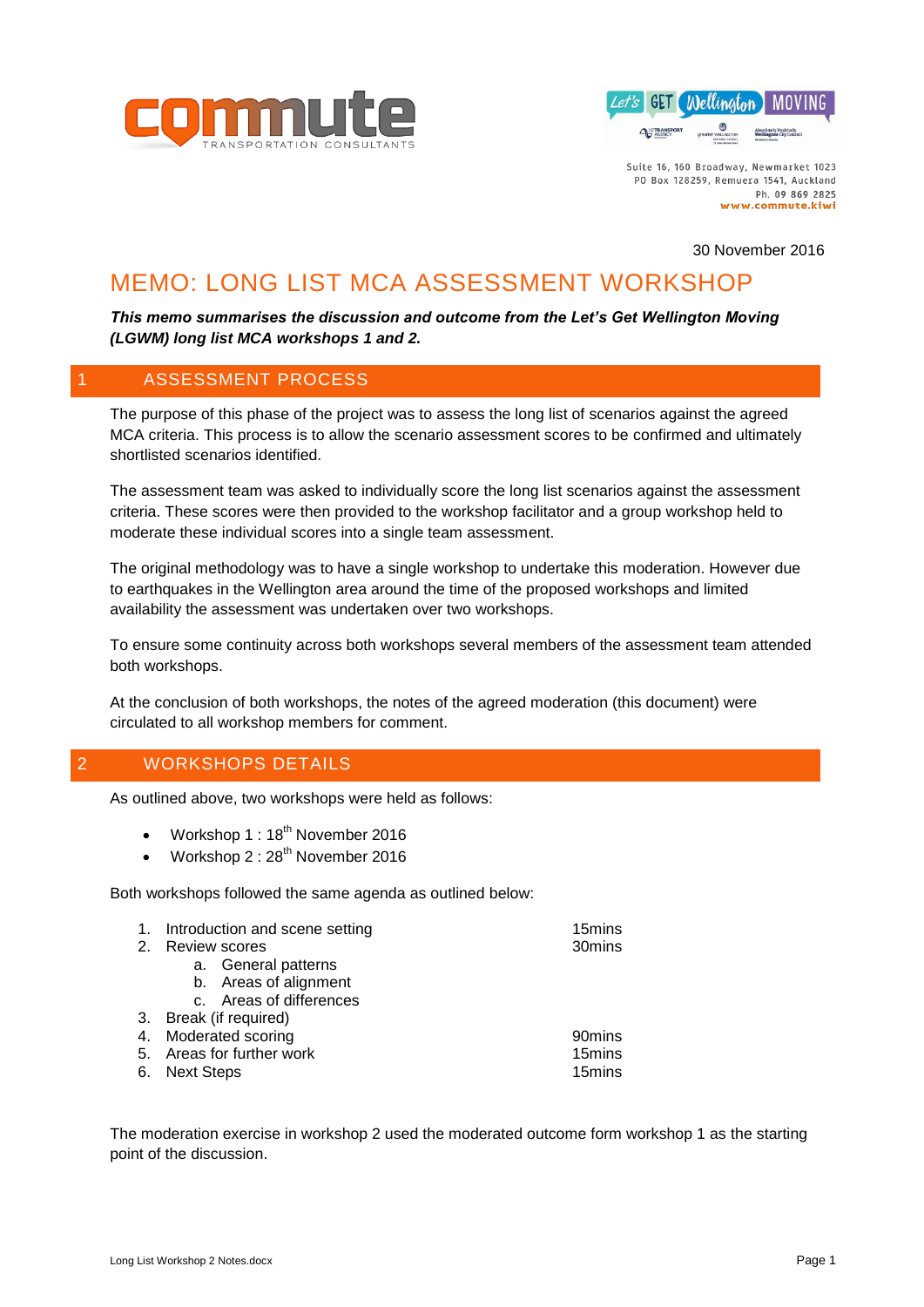



30 November 2016

# MEMO: LONG LIST MCA ASSESSMENT WORKSHOP

# *This memo summarises the discussion and outcome from the Let's Get Wellington Moving (LGWM) long list MCA workshops 1 and 2.*

# 1 ASSESSMENT PROCESS

The purpose of this phase of the project was to assess the long list of scenarios against the agreed MCA criteria. This process is to allow the scenario assessment scores to be confirmed and ultimately shortlisted scenarios identified.

The assessment team was asked to individually score the long list scenarios against the assessment criteria. These scores were then provided to the workshop facilitator and a group workshop held to moderate these individual scores into a single team assessment.

The original methodology was to have a single workshop to undertake this moderation. However due to earthquakes in the Wellington area around the time of the proposed workshops and limited availability the assessment was undertaken over two workshops.

To ensure some continuity across both workshops several members of the assessment team attended both workshops.

At the conclusion of both workshops, the notes of the agreed moderation (this document) were circulated to all workshop members for comment.

# 2 WORKSHOPS DETAILS

As outlined above, two workshops were held as follows:

- Workshop 1: 18<sup>th</sup> November 2016
- Workshop 2: 28<sup>th</sup> November 2016

Both workshops followed the same agenda as outlined below:

| Introduction and scene setting | 15mins |
|--------------------------------|--------|
|                                |        |

- 2. Review scores 30mins
	- a. General patterns
		- b. Areas of alignment
	- c. Areas of differences
- 3. Break (if required)
- 4. Moderated scoring 90mins
- 5. Areas for further work 15mins 6. Next Steps **15mins**
- 

The moderation exercise in workshop 2 used the moderated outcome form workshop 1 as the starting point of the discussion.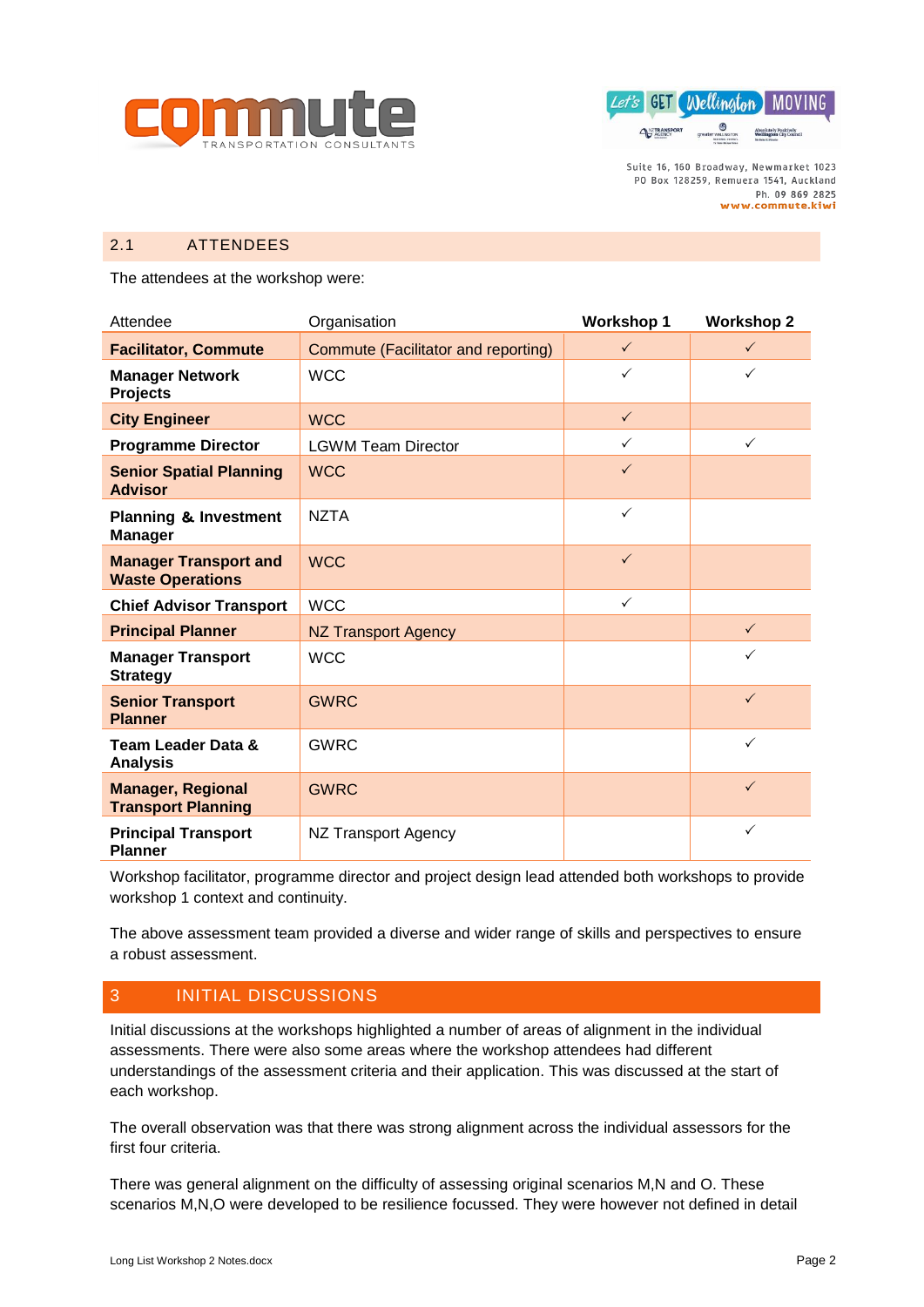



# 2.1 ATTENDEES

The attendees at the workshop were:

| Attendee                                                | Organisation                        | <b>Workshop 1</b> | <b>Workshop 2</b> |
|---------------------------------------------------------|-------------------------------------|-------------------|-------------------|
| <b>Facilitator, Commute</b>                             | Commute (Facilitator and reporting) | $\checkmark$      | $\checkmark$      |
| <b>Manager Network</b><br><b>Projects</b>               | <b>WCC</b>                          | $\checkmark$      | ✓                 |
| <b>City Engineer</b>                                    | <b>WCC</b>                          | $\checkmark$      |                   |
| <b>Programme Director</b>                               | <b>LGWM Team Director</b>           | ✓                 | $\checkmark$      |
| <b>Senior Spatial Planning</b><br><b>Advisor</b>        | <b>WCC</b>                          | $\checkmark$      |                   |
| <b>Planning &amp; Investment</b><br><b>Manager</b>      | <b>NZTA</b>                         | $\checkmark$      |                   |
| <b>Manager Transport and</b><br><b>Waste Operations</b> | <b>WCC</b>                          | $\checkmark$      |                   |
| <b>Chief Advisor Transport</b>                          | <b>WCC</b>                          | $\checkmark$      |                   |
| <b>Principal Planner</b>                                | <b>NZ Transport Agency</b>          |                   | $\checkmark$      |
| <b>Manager Transport</b><br><b>Strategy</b>             | <b>WCC</b>                          |                   | ✓                 |
| <b>Senior Transport</b><br><b>Planner</b>               | <b>GWRC</b>                         |                   | $\checkmark$      |
| <b>Team Leader Data &amp;</b><br><b>Analysis</b>        | <b>GWRC</b>                         |                   | ✓                 |
| <b>Manager, Regional</b><br><b>Transport Planning</b>   | <b>GWRC</b>                         |                   | $\checkmark$      |
| <b>Principal Transport</b><br><b>Planner</b>            | NZ Transport Agency                 |                   | $\checkmark$      |

Workshop facilitator, programme director and project design lead attended both workshops to provide workshop 1 context and continuity.

The above assessment team provided a diverse and wider range of skills and perspectives to ensure a robust assessment.

# 3 INITIAL DISCUSSIONS

Initial discussions at the workshops highlighted a number of areas of alignment in the individual assessments. There were also some areas where the workshop attendees had different understandings of the assessment criteria and their application. This was discussed at the start of each workshop.

The overall observation was that there was strong alignment across the individual assessors for the first four criteria.

There was general alignment on the difficulty of assessing original scenarios M,N and O. These scenarios M,N,O were developed to be resilience focussed. They were however not defined in detail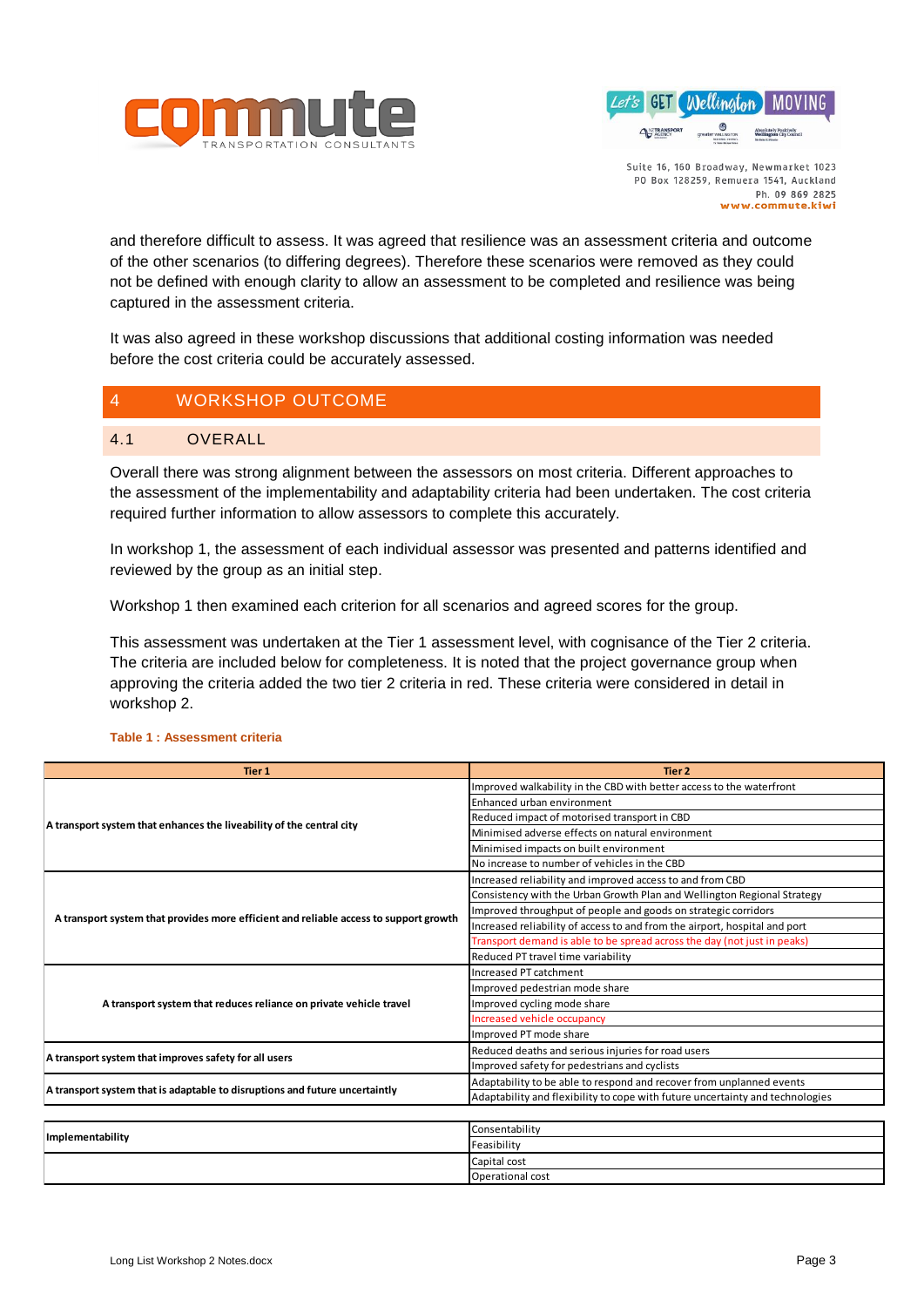



and therefore difficult to assess. It was agreed that resilience was an assessment criteria and outcome of the other scenarios (to differing degrees). Therefore these scenarios were removed as they could not be defined with enough clarity to allow an assessment to be completed and resilience was being captured in the assessment criteria.

It was also agreed in these workshop discussions that additional costing information was needed before the cost criteria could be accurately assessed.

# 4 WORKSHOP OUTCOME

# 4.1 OVERALL

Overall there was strong alignment between the assessors on most criteria. Different approaches to the assessment of the implementability and adaptability criteria had been undertaken. The cost criteria required further information to allow assessors to complete this accurately.

In workshop 1, the assessment of each individual assessor was presented and patterns identified and reviewed by the group as an initial step.

Workshop 1 then examined each criterion for all scenarios and agreed scores for the group.

This assessment was undertaken at the Tier 1 assessment level, with cognisance of the Tier 2 criteria. The criteria are included below for completeness. It is noted that the project governance group when approving the criteria added the two tier 2 criteria in red. These criteria were considered in detail in workshop 2.

#### **Tier 1 Tier 2** Improved walkability in the CBD with better access to the waterfront Enhanced urban environment Reduced impact of motorised transport in CBD Minimised adverse effects on natural environment Minimised impacts on built environment No increase to number of vehicles in the CBD Increased reliability and improved access to and from CBD Consistency with the Urban Growth Plan and Wellington Regional Strategy Improved throughput of people and goods on strategic corridors Increased reliability of access to and from the airport, hospital and port Transport demand is able to be spread across the day (not just in p Reduced PT travel time variability Increased PT catchment Improved pedestrian mode share Improved cycling mode share ncreased vehicle occupancy Improved PT mode share Reduced deaths and serious injuries for road users Improved safety for pedestrians and cyclists Adaptability to be able to respond and recover from unplanned events Adaptability and flexibility to cope with future uncertainty and technologies Consentability Feasibility Capital cost **A transport system that enhances the liveability of the central city A transport system that improves safety for all users A transport system that is adaptable to disruptions and future uncertaintly Implementability A transport system that provides more efficient and reliable access to support growth A transport system that reduces reliance on private vehicle travel**

Operational cost

#### **Table 1 : Assessment criteria**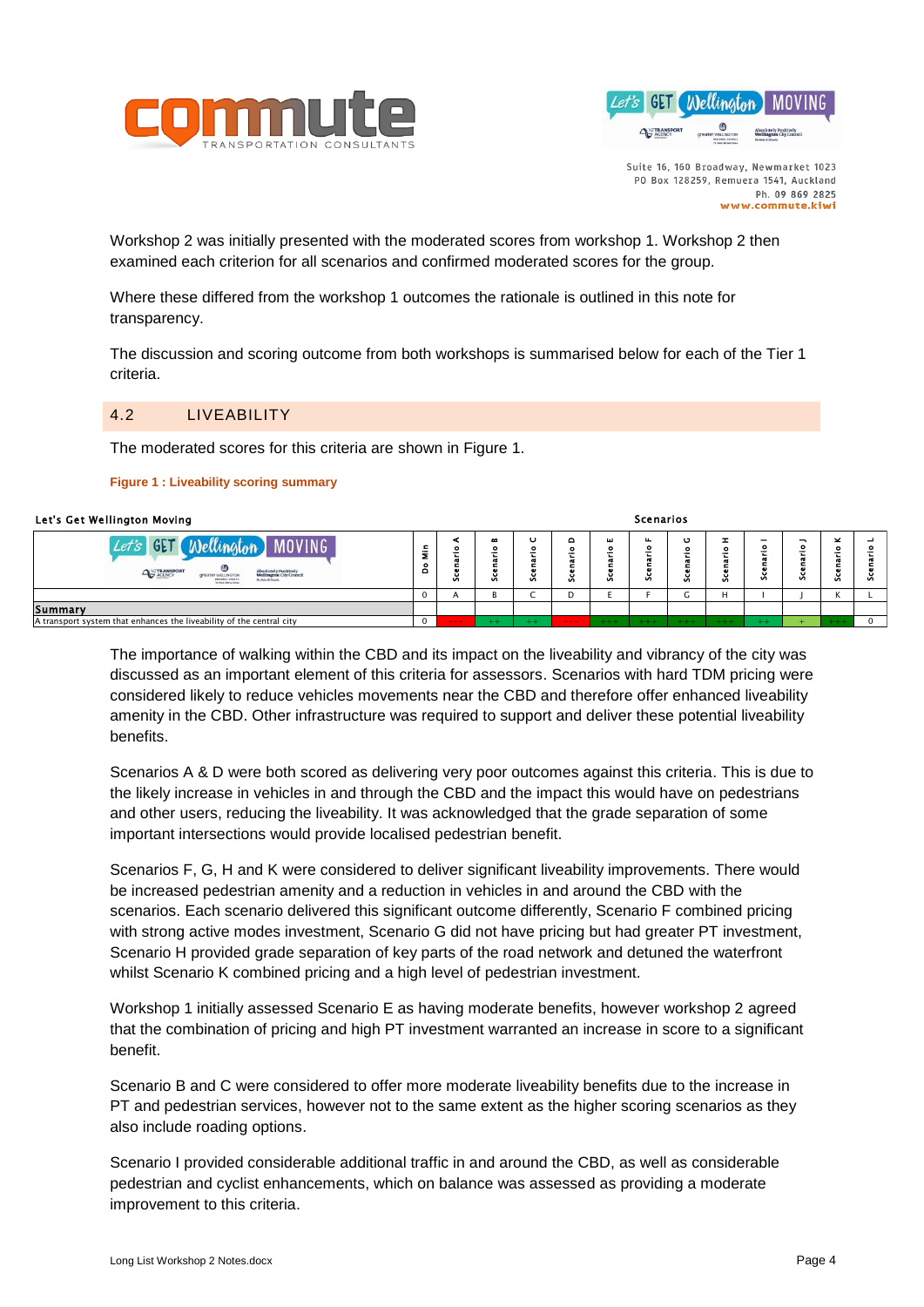



Scenarios

Workshop 2 was initially presented with the moderated scores from workshop 1. Workshop 2 then examined each criterion for all scenarios and confirmed moderated scores for the group.

Where these differed from the workshop 1 outcomes the rationale is outlined in this note for transparency.

The discussion and scoring outcome from both workshops is summarised below for each of the Tier 1 criteria.

#### 4.2 LIVEABILITY

The moderated scores for this criteria are shown in [Figure 1.](#page-3-0)

#### <span id="page-3-0"></span>**Figure 1 : Liveability scoring summary**

| Let's Get Wellington Moving                                                                                                                                                                                                                                                                                                                                                                                                                                                                                                                                                                                                                                                                                                                                                                                                                                                                                                                                                                                                                                                                                                                                                                                                                                                                                                                                                                                                                                                                                                                                                                                                                                                                                                                                                                                                                                                                                                                                                                                                                                                                                                                                            |                           |                                  |                            |                |                               |               | Scenarios     |                     |               |              |                |                         |             |
|------------------------------------------------------------------------------------------------------------------------------------------------------------------------------------------------------------------------------------------------------------------------------------------------------------------------------------------------------------------------------------------------------------------------------------------------------------------------------------------------------------------------------------------------------------------------------------------------------------------------------------------------------------------------------------------------------------------------------------------------------------------------------------------------------------------------------------------------------------------------------------------------------------------------------------------------------------------------------------------------------------------------------------------------------------------------------------------------------------------------------------------------------------------------------------------------------------------------------------------------------------------------------------------------------------------------------------------------------------------------------------------------------------------------------------------------------------------------------------------------------------------------------------------------------------------------------------------------------------------------------------------------------------------------------------------------------------------------------------------------------------------------------------------------------------------------------------------------------------------------------------------------------------------------------------------------------------------------------------------------------------------------------------------------------------------------------------------------------------------------------------------------------------------------|---------------------------|----------------------------------|----------------------------|----------------|-------------------------------|---------------|---------------|---------------------|---------------|--------------|----------------|-------------------------|-------------|
| <b>Wellington</b> MOVING<br>$Let's$ GET                                                                                                                                                                                                                                                                                                                                                                                                                                                                                                                                                                                                                                                                                                                                                                                                                                                                                                                                                                                                                                                                                                                                                                                                                                                                                                                                                                                                                                                                                                                                                                                                                                                                                                                                                                                                                                                                                                                                                                                                                                                                                                                                | $\frac{\epsilon}{2}$<br>å | $\blacktriangleleft$<br>Scenario | $\blacksquare$<br>Scenario | U<br>Scenario  | $\mathbf{\Omega}$<br>Scenario | ш<br>Scenario | щ<br>Scenario | $\circ$<br>Scenario | z<br>Scenario | Scenario     | Scenario J     | $\leq$<br>Scenario      | Scenario    |
|                                                                                                                                                                                                                                                                                                                                                                                                                                                                                                                                                                                                                                                                                                                                                                                                                                                                                                                                                                                                                                                                                                                                                                                                                                                                                                                                                                                                                                                                                                                                                                                                                                                                                                                                                                                                                                                                                                                                                                                                                                                                                                                                                                        | $\mathbf 0$               | $\overline{A}$                   | B                          | $\overline{C}$ | D                             | E             | F             | $\mathsf{G}$        | H.            | $\mathbf{L}$ | $\overline{1}$ | $\overline{\mathsf{K}}$ | L           |
| Summary<br>A transport system that enhances the liveability of the central city                                                                                                                                                                                                                                                                                                                                                                                                                                                                                                                                                                                                                                                                                                                                                                                                                                                                                                                                                                                                                                                                                                                                                                                                                                                                                                                                                                                                                                                                                                                                                                                                                                                                                                                                                                                                                                                                                                                                                                                                                                                                                        | $\mathbf 0$               |                                  |                            |                |                               |               |               |                     |               |              |                |                         | $\mathbf 0$ |
| The importance of walking within the CBD and its impact on the liveability and vibrancy of the city was<br>discussed as an important element of this criteria for assessors. Scenarios with hard TDM pricing were<br>considered likely to reduce vehicles movements near the CBD and therefore offer enhanced liveability<br>amenity in the CBD. Other infrastructure was required to support and deliver these potential liveability<br>benefits.<br>Scenarios A & D were both scored as delivering very poor outcomes against this criteria. This is due to<br>the likely increase in vehicles in and through the CBD and the impact this would have on pedestrians<br>and other users, reducing the liveability. It was acknowledged that the grade separation of some<br>important intersections would provide localised pedestrian benefit.<br>Scenarios F, G, H and K were considered to deliver significant liveability improvements. There would<br>be increased pedestrian amenity and a reduction in vehicles in and around the CBD with the<br>scenarios. Each scenario delivered this significant outcome differently, Scenario F combined pricing<br>with strong active modes investment, Scenario G did not have pricing but had greater PT investment,<br>Scenario H provided grade separation of key parts of the road network and detuned the waterfront<br>whilst Scenario K combined pricing and a high level of pedestrian investment.<br>Workshop 1 initially assessed Scenario E as having moderate benefits, however workshop 2 agreed<br>that the combination of pricing and high PT investment warranted an increase in score to a significant<br>benefit.<br>Scenario B and C were considered to offer more moderate liveability benefits due to the increase in<br>PT and pedestrian services, however not to the same extent as the higher scoring scenarios as they<br>also include roading options.<br>Scenario I provided considerable additional traffic in and around the CBD, as well as considerable<br>pedestrian and cyclist enhancements, which on balance was assessed as providing a moderate<br>improvement to this criteria. |                           |                                  |                            |                |                               |               |               |                     |               |              |                |                         |             |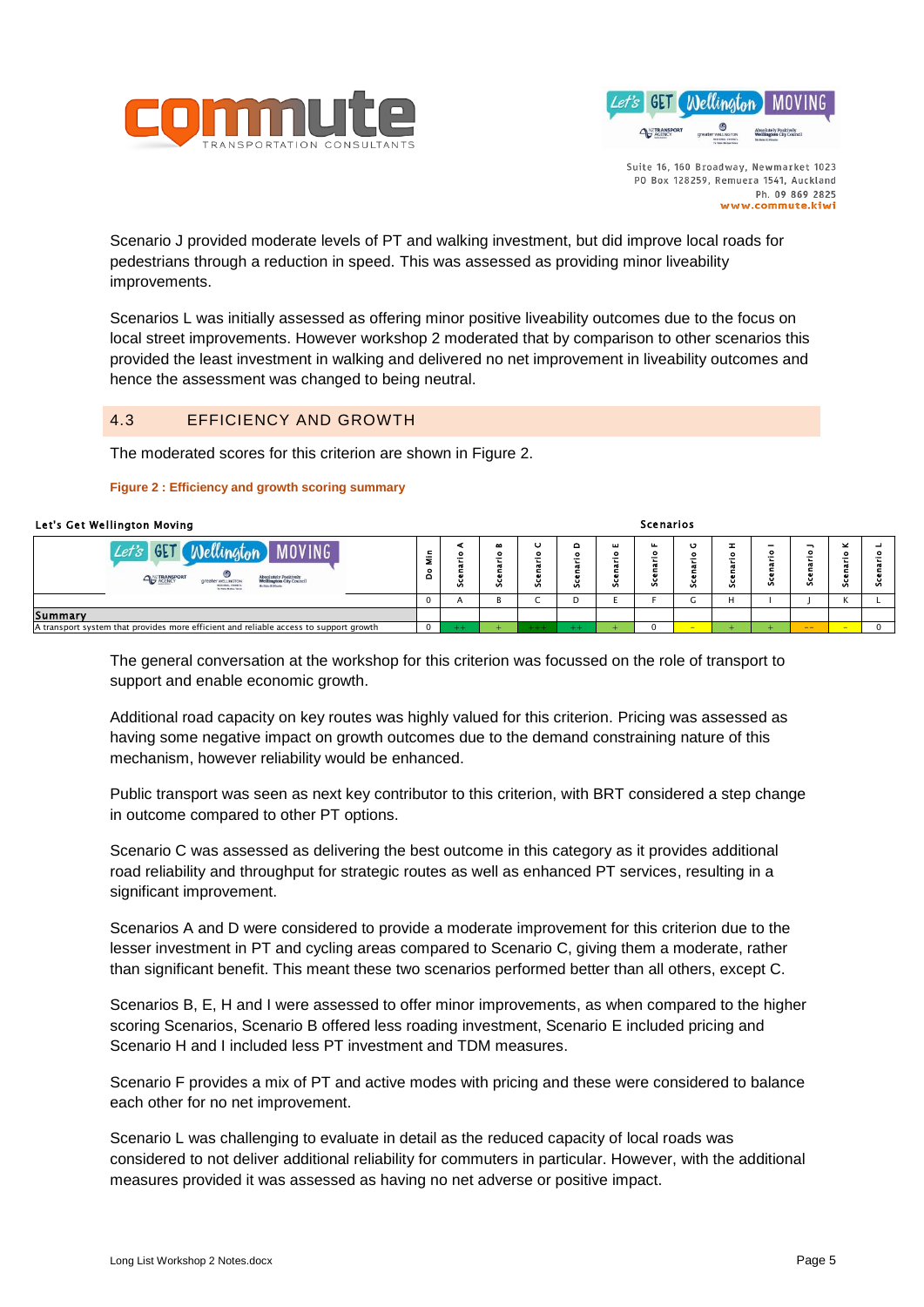



Scenarios

Scenario J provided moderate levels of PT and walking investment, but did improve local roads for pedestrians through a reduction in speed. This was assessed as providing minor liveability improvements.

Scenarios L was initially assessed as offering minor positive liveability outcomes due to the focus on local street improvements. However workshop 2 moderated that by comparison to other scenarios this provided the least investment in walking and delivered no net improvement in liveability outcomes and hence the assessment was changed to being neutral.

# 4.3 EFFICIENCY AND GROWTH

The moderated scores for this criterion are shown in [Figure 2.](#page-4-0)

#### <span id="page-4-0"></span>**Figure 2 : Efficiency and growth scoring summary**

#### Let's Get Wellington Moving

| GE.<br><b>MOVING</b><br>⊛<br>ANZTRANSPORT<br><b>Absolutely Positively<br/>Wellington City Council</b><br>greater will indices<br><b>BEGINNEL COUNTY</b><br>My Bake & Flooder<br>To Pane Motos Tales | $\epsilon$<br>Ξ<br>۰<br>Ă | с<br>Ō | œ<br>۰<br>۰<br>Ø | ٥<br>n | ш<br>$\bullet$<br>n | ш.<br>۰<br>o<br>Ū, | o<br>n | Ŧ.<br>$\bullet$<br>-<br>α<br>$\mathbf{a}$<br>- 63<br>Ø | -<br>۰<br>Ű, | v     | $\overline{\phantom{a}}$<br>e<br>S. | n |
|-----------------------------------------------------------------------------------------------------------------------------------------------------------------------------------------------------|---------------------------|--------|------------------|--------|---------------------|--------------------|--------|--------------------------------------------------------|--------------|-------|-------------------------------------|---|
|                                                                                                                                                                                                     | $\mathbf 0$               |        | D                |        |                     |                    |        | н                                                      |              |       |                                     |   |
| Summary                                                                                                                                                                                             |                           |        |                  |        |                     |                    |        |                                                        |              |       |                                     |   |
| A transport system that provides more efficient and reliable access to support growth                                                                                                               | $\Omega$                  |        |                  |        |                     |                    |        |                                                        |              | $- -$ |                                     |   |
|                                                                                                                                                                                                     |                           |        |                  |        |                     |                    |        |                                                        |              |       |                                     |   |

The general conversation at the workshop for this criterion was focussed on the role of transport to support and enable economic growth.

Additional road capacity on key routes was highly valued for this criterion. Pricing was assessed as having some negative impact on growth outcomes due to the demand constraining nature of this mechanism, however reliability would be enhanced.

Public transport was seen as next key contributor to this criterion, with BRT considered a step change in outcome compared to other PT options.

Scenario C was assessed as delivering the best outcome in this category as it provides additional road reliability and throughput for strategic routes as well as enhanced PT services, resulting in a significant improvement.

Scenarios A and D were considered to provide a moderate improvement for this criterion due to the lesser investment in PT and cycling areas compared to Scenario C, giving them a moderate, rather than significant benefit. This meant these two scenarios performed better than all others, except C.

Scenarios B, E, H and I were assessed to offer minor improvements, as when compared to the higher scoring Scenarios, Scenario B offered less roading investment, Scenario E included pricing and Scenario H and I included less PT investment and TDM measures.

Scenario F provides a mix of PT and active modes with pricing and these were considered to balance each other for no net improvement.

Scenario L was challenging to evaluate in detail as the reduced capacity of local roads was considered to not deliver additional reliability for commuters in particular. However, with the additional measures provided it was assessed as having no net adverse or positive impact.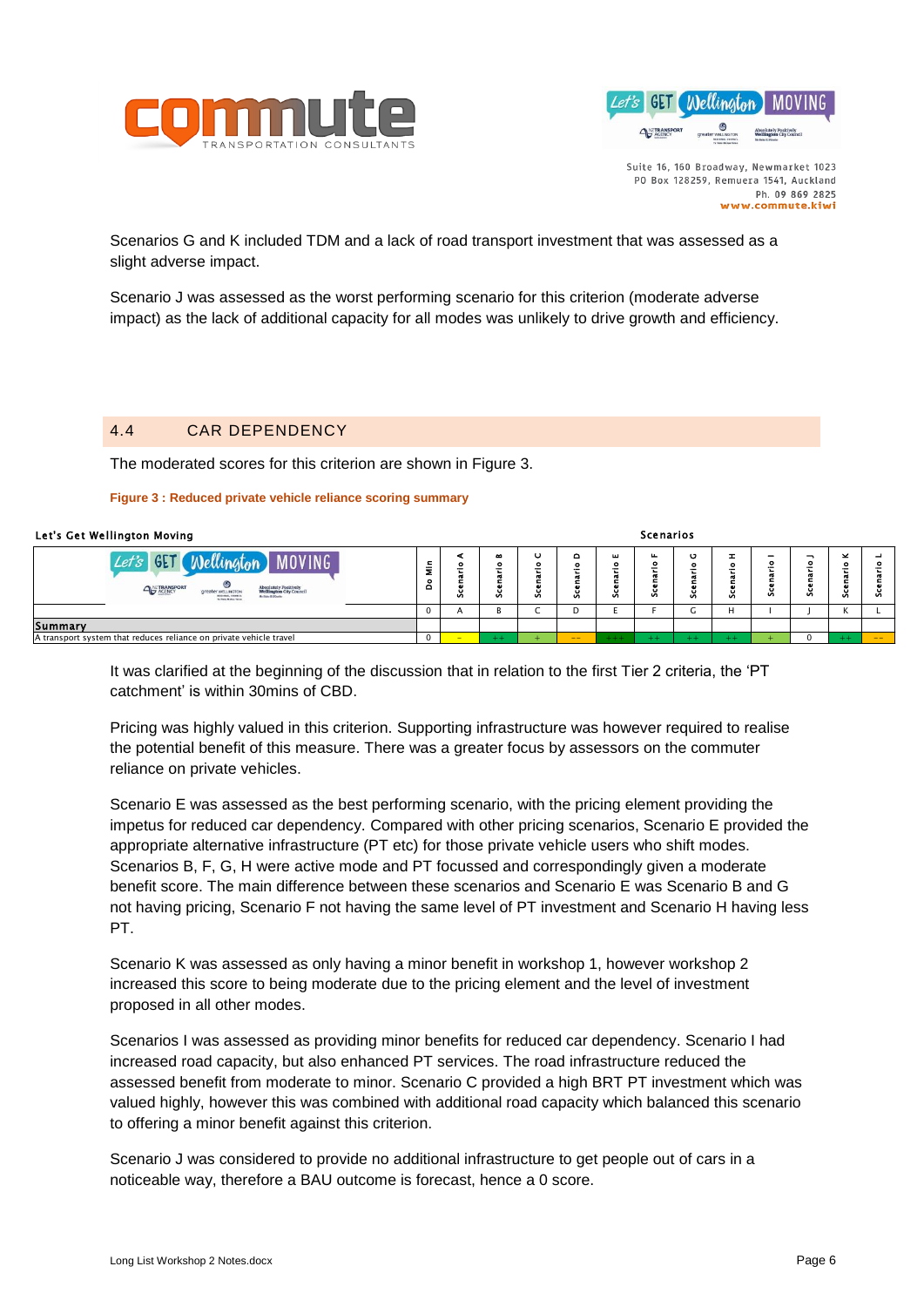



Scenarios

Scenarios G and K included TDM and a lack of road transport investment that was assessed as a slight adverse impact.

Scenario J was assessed as the worst performing scenario for this criterion (moderate adverse impact) as the lack of additional capacity for all modes was unlikely to drive growth and efficiency.

# 4.4 CAR DEPENDENCY

The moderated scores for this criterion are shown in [Figure 3.](#page-5-0)

#### <span id="page-5-0"></span>**Figure 3 : Reduced private vehicle reliance scoring summary**

#### Let's Get Wellington Moving

| <b>MOVING</b><br>GE <sub>1</sub><br>Wellington<br><b>ANTRANSPORT</b><br><b>Absolutely Positively<br/>Wellington City Council</b><br>greater wELLINGTON<br>My Hole & Hoody<br><b>REGISTER, COURSE</b><br>To Pane Motor Teles | ε<br>Ξ<br>۰<br>ó | о<br>c<br>n | $\bullet$<br>۰<br>۰<br>Ø | o | $\circ$<br>÷. | ш<br>۰<br>-<br>Ū | ш.<br>۰<br>o<br>Ø | o<br>-<br>v. | Ŧ<br>$\bullet$<br>-<br>v. | -<br>۰<br>æ<br>Ū. | Ū | $\overline{\phantom{a}}$<br>۰<br>Š. | $\sim$ |
|-----------------------------------------------------------------------------------------------------------------------------------------------------------------------------------------------------------------------------|------------------|-------------|--------------------------|---|---------------|------------------|-------------------|--------------|---------------------------|-------------------|---|-------------------------------------|--------|
|                                                                                                                                                                                                                             | 0                |             |                          |   |               |                  |                   | u            |                           |                   |   | N                                   |        |
| <b>Summary</b>                                                                                                                                                                                                              |                  |             |                          |   |               |                  |                   |              |                           |                   |   |                                     |        |
| A transport system that reduces reliance on private vehicle travel                                                                                                                                                          |                  |             | $\pm$ $\pm$              |   | $- -$         | $^{+++}$         |                   |              |                           |                   |   |                                     | --     |
|                                                                                                                                                                                                                             |                  |             |                          |   |               |                  |                   |              |                           |                   |   |                                     |        |

It was clarified at the beginning of the discussion that in relation to the first Tier 2 criteria, the 'PT catchment' is within 30mins of CBD.

Pricing was highly valued in this criterion. Supporting infrastructure was however required to realise the potential benefit of this measure. There was a greater focus by assessors on the commuter reliance on private vehicles.

Scenario E was assessed as the best performing scenario, with the pricing element providing the impetus for reduced car dependency. Compared with other pricing scenarios, Scenario E provided the appropriate alternative infrastructure (PT etc) for those private vehicle users who shift modes. Scenarios B, F, G, H were active mode and PT focussed and correspondingly given a moderate benefit score. The main difference between these scenarios and Scenario E was Scenario B and G not having pricing, Scenario F not having the same level of PT investment and Scenario H having less PT.

Scenario K was assessed as only having a minor benefit in workshop 1, however workshop 2 increased this score to being moderate due to the pricing element and the level of investment proposed in all other modes.

Scenarios I was assessed as providing minor benefits for reduced car dependency. Scenario I had increased road capacity, but also enhanced PT services. The road infrastructure reduced the assessed benefit from moderate to minor. Scenario C provided a high BRT PT investment which was valued highly, however this was combined with additional road capacity which balanced this scenario to offering a minor benefit against this criterion.

Scenario J was considered to provide no additional infrastructure to get people out of cars in a noticeable way, therefore a BAU outcome is forecast, hence a 0 score.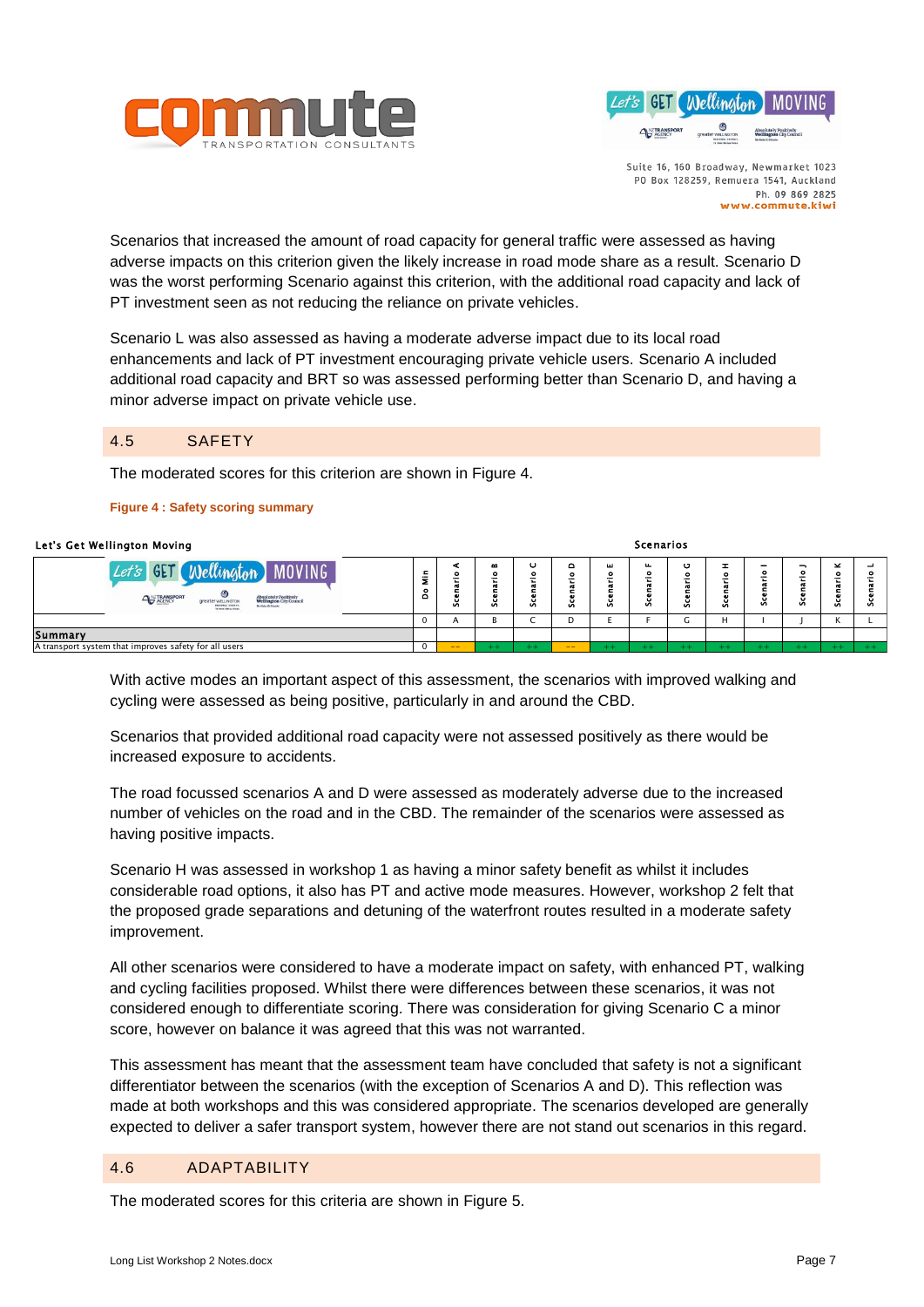



Scenarios that increased the amount of road capacity for general traffic were assessed as having adverse impacts on this criterion given the likely increase in road mode share as a result. Scenario D was the worst performing Scenario against this criterion, with the additional road capacity and lack of PT investment seen as not reducing the reliance on private vehicles.

Scenario L was also assessed as having a moderate adverse impact due to its local road enhancements and lack of PT investment encouraging private vehicle users. Scenario A included additional road capacity and BRT so was assessed performing better than Scenario D, and having a minor adverse impact on private vehicle use.

#### 4.5 SAFETY

The moderated scores for this criterion are shown in [Figure 4.](#page-6-0)

#### <span id="page-6-0"></span>**Figure 4 : Safety scoring summary**

| Let's Get Wellington Moving                                                                                                                                                                                                   | <b>Scenarios</b>                        |                |                                          |                        |               |                                  |                               |                   |        |                       |                        |             |         |  |
|-------------------------------------------------------------------------------------------------------------------------------------------------------------------------------------------------------------------------------|-----------------------------------------|----------------|------------------------------------------|------------------------|---------------|----------------------------------|-------------------------------|-------------------|--------|-----------------------|------------------------|-------------|---------|--|
| Wellington MOVING<br>GET <sub>1</sub><br>Let's<br>۵<br><b>ANZTRANSPORT</b><br>Absolutely Positively<br>Wellington City Council<br>greater wesures row<br><b>REGISTER COUNCIL</b><br>My Boke Ri Fourier<br>To Pane Maton Tolen | $\epsilon$<br>Ξ<br>$\bullet$<br>$\circ$ | ۰<br>u<br>Ø    | $\bullet$<br>۰<br>工<br>÷<br>C.<br>o<br>Ø | ပ<br>۰<br>-<br>u<br>Ō. | $\circ$<br>v. | <b>LL</b><br>$\bullet$<br>-<br>Ū | щ<br>۰<br>$\overline{ }$<br>n | o<br>۰<br>ū<br>Ō. | o<br>Ø | -<br>۰<br>œ<br>۰<br>Ū | ∽<br>۰<br>-<br>۰<br>Ū, | ×<br>o<br>v | −<br>-8 |  |
|                                                                                                                                                                                                                               | v                                       | $\overline{ }$ |                                          | ◡                      | IJ            |                                  |                               |                   | н      |                       |                        | N           |         |  |
| Summary                                                                                                                                                                                                                       |                                         |                |                                          |                        |               |                                  |                               |                   |        |                       |                        |             |         |  |
| A transport system that improves safety for all users                                                                                                                                                                         |                                         | $- -$          | $+ +$                                    |                        |               | $^{++}$                          | $+ +$                         |                   |        |                       |                        |             | $++$    |  |
|                                                                                                                                                                                                                               |                                         |                |                                          |                        |               |                                  |                               |                   |        |                       |                        |             |         |  |

With active modes an important aspect of this assessment, the scenarios with improved walking and cycling were assessed as being positive, particularly in and around the CBD.

Scenarios that provided additional road capacity were not assessed positively as there would be increased exposure to accidents.

The road focussed scenarios A and D were assessed as moderately adverse due to the increased number of vehicles on the road and in the CBD. The remainder of the scenarios were assessed as having positive impacts.

Scenario H was assessed in workshop 1 as having a minor safety benefit as whilst it includes considerable road options, it also has PT and active mode measures. However, workshop 2 felt that the proposed grade separations and detuning of the waterfront routes resulted in a moderate safety improvement.

All other scenarios were considered to have a moderate impact on safety, with enhanced PT, walking and cycling facilities proposed. Whilst there were differences between these scenarios, it was not considered enough to differentiate scoring. There was consideration for giving Scenario C a minor score, however on balance it was agreed that this was not warranted.

This assessment has meant that the assessment team have concluded that safety is not a significant differentiator between the scenarios (with the exception of Scenarios A and D). This reflection was made at both workshops and this was considered appropriate. The scenarios developed are generally expected to deliver a safer transport system, however there are not stand out scenarios in this regard.

# 4.6 ADAPTABILITY

The moderated scores for this criteria are shown in [Figure 5.](#page-7-0)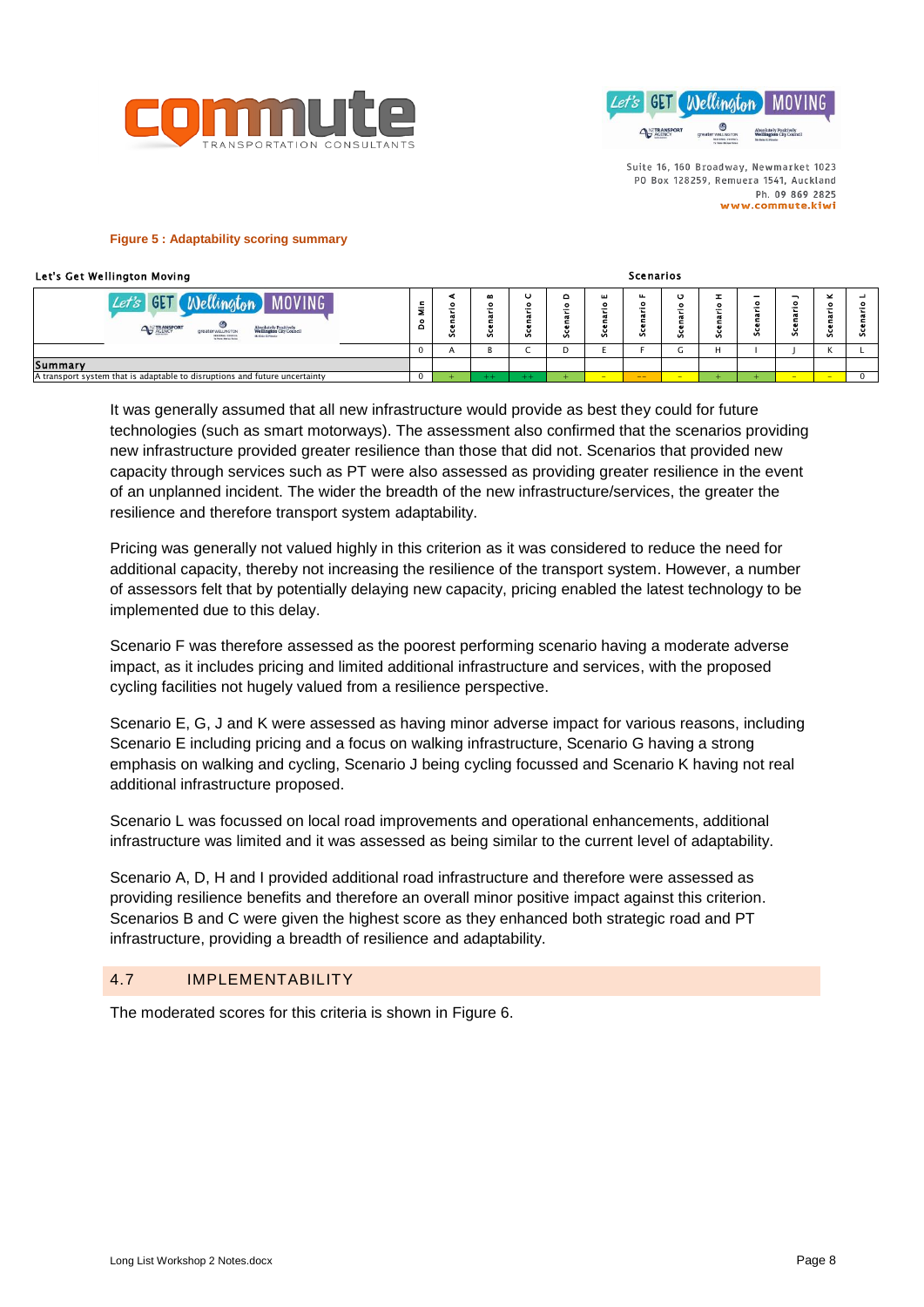



#### <span id="page-7-0"></span>**Figure 5 : Adaptability scoring summary**

#### Let's Get Wellington Moving

| Let's Get Wellington Moving                                                                                                                                                                                                 |                               |   |                                             |                   |              |                   | <b>Scenarios</b> |                   |                     |                        |         |         |    |
|-----------------------------------------------------------------------------------------------------------------------------------------------------------------------------------------------------------------------------|-------------------------------|---|---------------------------------------------|-------------------|--------------|-------------------|------------------|-------------------|---------------------|------------------------|---------|---------|----|
| Wellington MOVING<br>GET <sub>1</sub><br>Let's<br>۵<br><b>ANZTRANSPORT</b><br>Absolutely Positively<br>Wellington City Council<br>greater weunistow<br><b>BEGINNEL COUNCIL</b><br>My Hole Ri Foreign<br>To Pane Mutus Tales | $\blacksquare$<br>Ξ<br>۰<br>ō | u | $\bullet$<br>۰<br>Ġ.<br>$\blacksquare$<br>8 | o<br>۰<br>۰<br>Ũ. | ۰<br>۰<br>v. | ш<br>۰<br>÷<br>ŭ. | u.<br>×.         | o<br>o<br>o<br>Ũ. | <b>I</b><br>۰<br>S. | -<br>۰<br>œ<br>o<br>Ű. | ۰<br>Ũ. | ×<br>Ũ. | Ũ. |
|                                                                                                                                                                                                                             | $\mathbf 0$                   |   | Đ                                           |                   | D            |                   |                  | -<br>u            | H                   |                        |         | К       |    |
| <b>Summary</b>                                                                                                                                                                                                              |                               |   |                                             |                   |              |                   |                  |                   |                     |                        |         |         |    |
| A transport system that is adaptable to disruptions and future uncertainty                                                                                                                                                  |                               |   |                                             |                   |              | $-$               | $- -$            | -                 |                     |                        | -       | -       |    |
|                                                                                                                                                                                                                             |                               |   |                                             |                   |              |                   |                  |                   |                     |                        |         |         |    |

It was generally assumed that all new infrastructure would provide as best they could for future technologies (such as smart motorways). The assessment also confirmed that the scenarios providing new infrastructure provided greater resilience than those that did not. Scenarios that provided new capacity through services such as PT were also assessed as providing greater resilience in the event of an unplanned incident. The wider the breadth of the new infrastructure/services, the greater the resilience and therefore transport system adaptability.

Pricing was generally not valued highly in this criterion as it was considered to reduce the need for additional capacity, thereby not increasing the resilience of the transport system. However, a number of assessors felt that by potentially delaying new capacity, pricing enabled the latest technology to be implemented due to this delay.

Scenario F was therefore assessed as the poorest performing scenario having a moderate adverse impact, as it includes pricing and limited additional infrastructure and services, with the proposed cycling facilities not hugely valued from a resilience perspective.

Scenario E, G, J and K were assessed as having minor adverse impact for various reasons, including Scenario E including pricing and a focus on walking infrastructure, Scenario G having a strong emphasis on walking and cycling, Scenario J being cycling focussed and Scenario K having not real additional infrastructure proposed.

Scenario L was focussed on local road improvements and operational enhancements, additional infrastructure was limited and it was assessed as being similar to the current level of adaptability.

Scenario A, D, H and I provided additional road infrastructure and therefore were assessed as providing resilience benefits and therefore an overall minor positive impact against this criterion. Scenarios B and C were given the highest score as they enhanced both strategic road and PT infrastructure, providing a breadth of resilience and adaptability.

# 4.7 IMPLEMENTABILITY

The moderated scores for this criteria is shown in [Figure 6.](#page-8-0)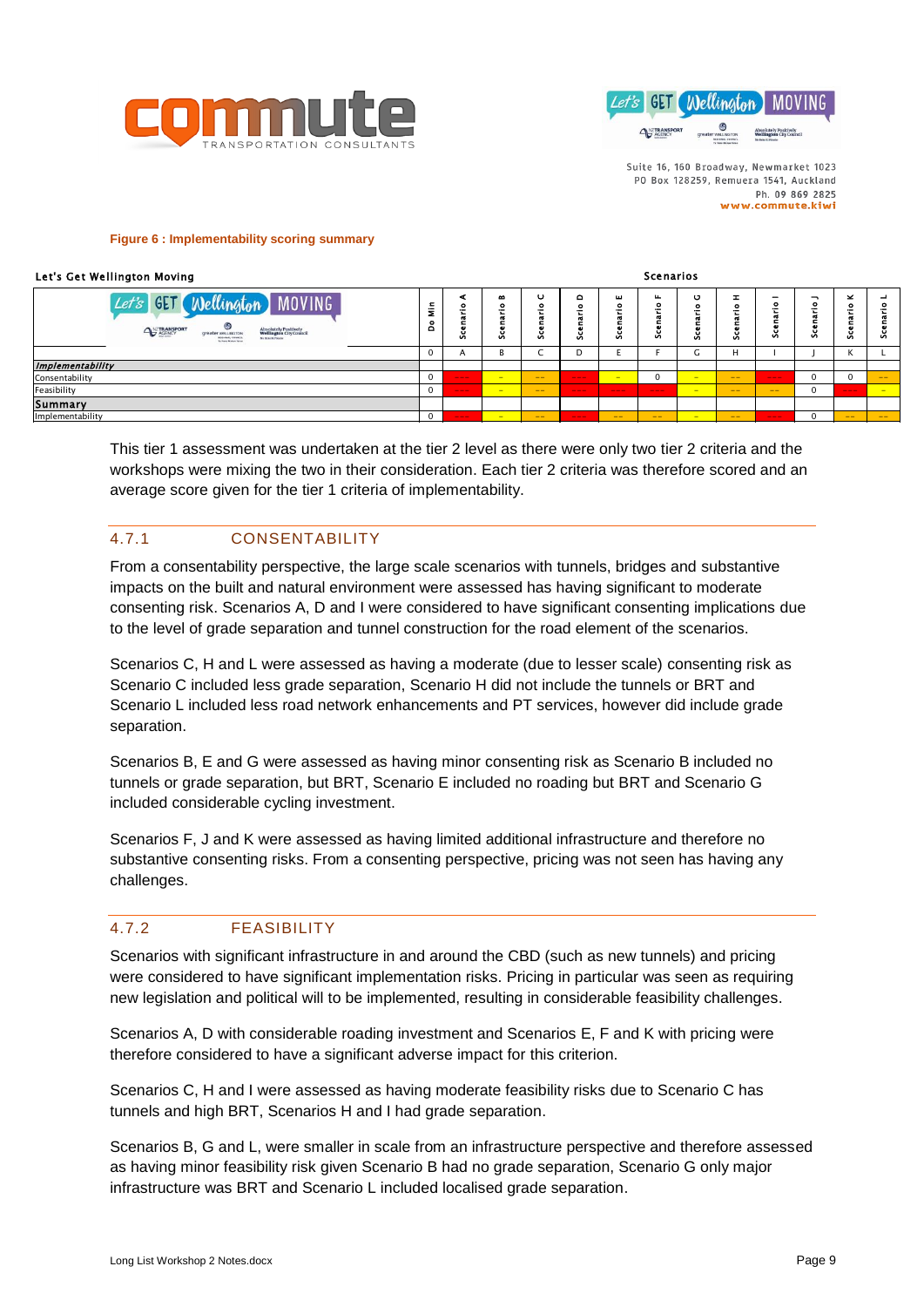



Scenarios

#### <span id="page-8-0"></span>**Figure 6 : Implementability scoring summary**

#### Let's Get Wellington Moving

| Let's GET Wellington MOVING<br>⊛<br>ANTRANSPORT<br>Absolutely Positively<br>Wellington City Council<br>greater wELINGTON<br><b>REGIONAL COUNCI</b><br>Mr Hoke Ki Poscia<br>To Parre Morriso Totals | Ξ<br>Ξ<br>å | c<br>e<br>Ū | œ<br>۰<br>÷<br>ದ<br>$\bullet$<br>Š, | c<br>о<br>Ø | $\circ$<br>Ø      | ш<br>۰<br>τ<br>$\sim$<br>ë<br>es<br>Sc | ш.<br>۰<br>--<br>۰<br>Ū. | O<br>Ø | ઝ     | ۰<br>σ<br>$\blacksquare$<br>ū<br>Ũ. | -<br>۰<br>۰<br>Ū, | ×<br>۰<br>Ø | ⊣<br>۰<br>ઝ |
|----------------------------------------------------------------------------------------------------------------------------------------------------------------------------------------------------|-------------|-------------|-------------------------------------|-------------|-------------------|----------------------------------------|--------------------------|--------|-------|-------------------------------------|-------------------|-------------|-------------|
|                                                                                                                                                                                                    | O           | A           | В                                   |             | D                 |                                        |                          | τ.     | н     |                                     |                   |             |             |
| <b>Implementability</b>                                                                                                                                                                            |             |             |                                     |             |                   |                                        |                          |        |       |                                     |                   |             |             |
| Consentability                                                                                                                                                                                     | 0           | ---         | <b>Participate</b>                  | $- -$       | $\qquad \qquad -$ | $-$                                    | 0                        | $-$    | $- -$ | $-- -$                              | 0                 |             | $- -$       |
| Feasibility                                                                                                                                                                                        |             | ---         | $-$                                 | $- -$       | $\qquad \qquad -$ | $-- -$                                 | ---                      | $-$    | $- -$ | $- -$                               | 0                 | $- - -$     | $-$         |
| <b>Summary</b>                                                                                                                                                                                     |             |             |                                     |             |                   |                                        |                          |        |       |                                     |                   |             |             |
| Implementability                                                                                                                                                                                   |             | ---         | -                                   | $- -$       | $\qquad \qquad -$ | $- -$                                  | $- -$                    | $-$    | $- -$ | $-- -$                              | O                 | $- -$       | $- -$       |

This tier 1 assessment was undertaken at the tier 2 level as there were only two tier 2 criteria and the workshops were mixing the two in their consideration. Each tier 2 criteria was therefore scored and an average score given for the tier 1 criteria of implementability.

# 4.7.1 CONSENTABILITY

From a consentability perspective, the large scale scenarios with tunnels, bridges and substantive impacts on the built and natural environment were assessed has having significant to moderate consenting risk. Scenarios A, D and I were considered to have significant consenting implications due to the level of grade separation and tunnel construction for the road element of the scenarios.

Scenarios C, H and L were assessed as having a moderate (due to lesser scale) consenting risk as Scenario C included less grade separation, Scenario H did not include the tunnels or BRT and Scenario L included less road network enhancements and PT services, however did include grade separation.

Scenarios B, E and G were assessed as having minor consenting risk as Scenario B included no tunnels or grade separation, but BRT, Scenario E included no roading but BRT and Scenario G included considerable cycling investment.

Scenarios F, J and K were assessed as having limited additional infrastructure and therefore no substantive consenting risks. From a consenting perspective, pricing was not seen has having any challenges.

# 4.7.2 FEASIBILITY

Scenarios with significant infrastructure in and around the CBD (such as new tunnels) and pricing were considered to have significant implementation risks. Pricing in particular was seen as requiring new legislation and political will to be implemented, resulting in considerable feasibility challenges.

Scenarios A, D with considerable roading investment and Scenarios E, F and K with pricing were therefore considered to have a significant adverse impact for this criterion.

Scenarios C, H and I were assessed as having moderate feasibility risks due to Scenario C has tunnels and high BRT, Scenarios H and I had grade separation.

Scenarios B, G and L, were smaller in scale from an infrastructure perspective and therefore assessed as having minor feasibility risk given Scenario B had no grade separation, Scenario G only major infrastructure was BRT and Scenario L included localised grade separation.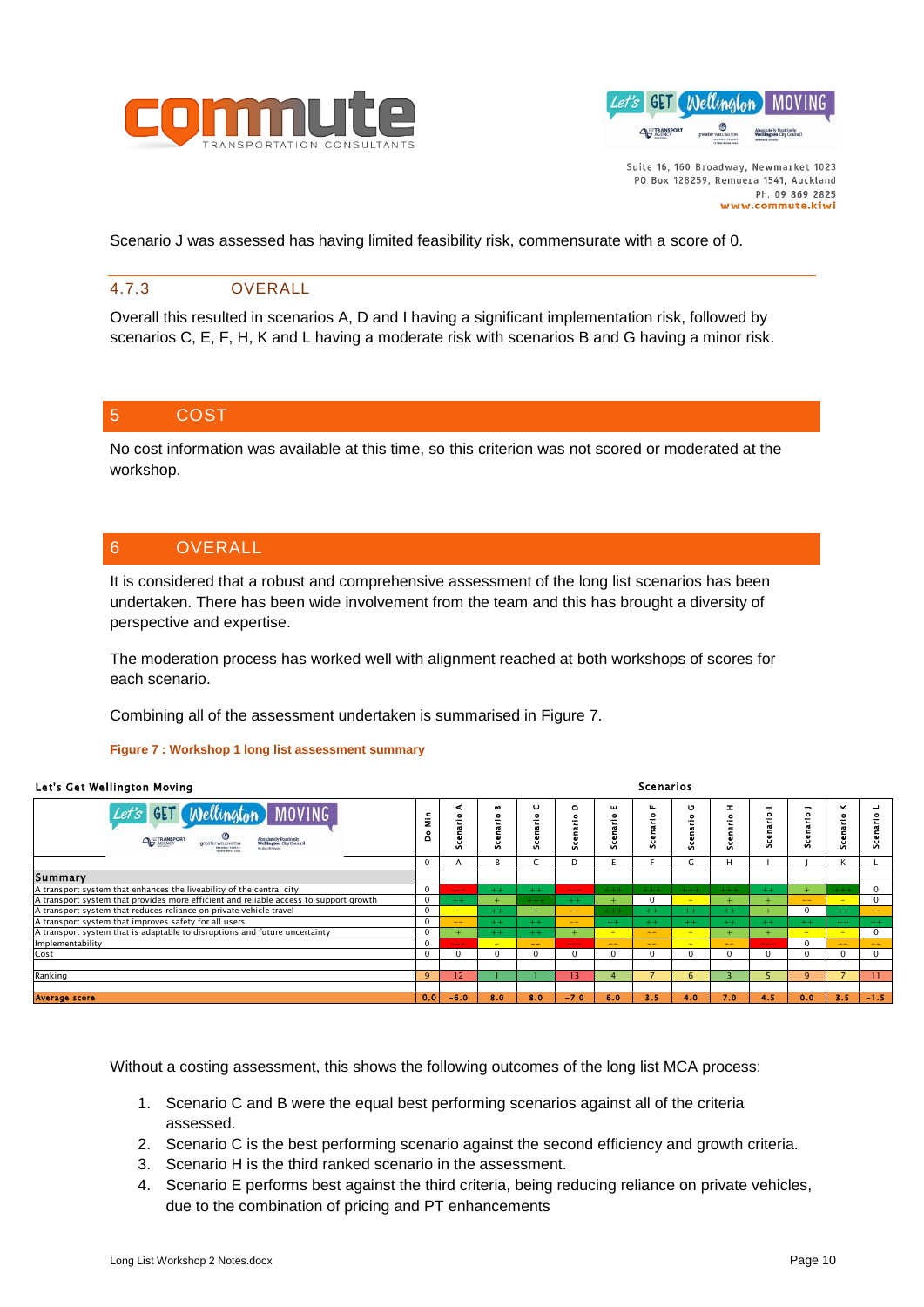



Scenario J was assessed has having limited feasibility risk, commensurate with a score of 0.

# 4.7.3 OVERALL

Overall this resulted in scenarios A, D and I having a significant implementation risk, followed by scenarios C, E, F, H, K and L having a moderate risk with scenarios B and G having a minor risk.

# 5 COST

No cost information was available at this time, so this criterion was not scored or moderated at the workshop.

# 6 OVERALL

It is considered that a robust and comprehensive assessment of the long list scenarios has been undertaken. There has been wide involvement from the team and this has brought a diversity of perspective and expertise.

The moderation process has worked well with alignment reached at both workshops of scores for each scenario.

Combining all of the assessment undertaken is summarised in [Figure 7.](#page-9-0)

#### <span id="page-9-0"></span>**Figure 7 : Workshop 1 long list assessment summary**

|                                                                            | <b>Scenarios</b><br>Let's Get Wellington Moving                                                                                                                                                        |              |             |               |                   |                     |                   |                   |             |                           |                          |             |               |              |
|----------------------------------------------------------------------------|--------------------------------------------------------------------------------------------------------------------------------------------------------------------------------------------------------|--------------|-------------|---------------|-------------------|---------------------|-------------------|-------------------|-------------|---------------------------|--------------------------|-------------|---------------|--------------|
| Let's                                                                      | <b>MOVING</b><br><b>GET</b><br>Wellington 1<br>reater wELLINGTON<br><b><i>Edithac</i></b> Chies                                                                                                        | ş<br>å       | cenario     | œ<br>Scenario | U<br>Scenario     | ٥<br>$\bullet$      | ш<br>Scenario     | Scenario          | U<br>enario | ᆂ<br>$\bullet$<br>Scenari | Scenario I               | Scenario J  | ×<br>Scenario | Scenario     |
|                                                                            |                                                                                                                                                                                                        | $\mathbf 0$  | A           | В             | C                 | D                   | E                 | F.                | G           | H                         |                          |             | К             | L            |
| Summary                                                                    |                                                                                                                                                                                                        |              |             |               |                   |                     |                   |                   |             |                           |                          |             |               |              |
|                                                                            | A transport system that enhances the liveability of the central city                                                                                                                                   | $\mathbf 0$  | ---         | $+ +$         | $++$              | $\qquad \qquad - -$ |                   |                   |             |                           | $++$                     |             |               | $\mathbf{0}$ |
|                                                                            | A transport system that provides more efficient and reliable access to support growth                                                                                                                  | $\mathbf 0$  | $++$        |               |                   | $++$                |                   | 0                 | $\equiv$    |                           |                          | $- -$       |               | 0            |
|                                                                            | A transport system that reduces reliance on private vehicle travel                                                                                                                                     |              |             | $+ +$         |                   | $- -$               |                   | $+ +$             | $++$        | $+ +$                     |                          | $\mathbf 0$ | $+ +$         |              |
| A transport system that improves safety for all users                      | $\mathbf 0$                                                                                                                                                                                            | $- -$        | $+ +$       | $++$          | $\qquad \qquad -$ | $+ +$               | $++$              | $++$              | $++$        | $++$                      | $+ +$                    | $++$        | $++$          |              |
| A transport system that is adaptable to disruptions and future uncertainty | $\mathbf 0$                                                                                                                                                                                            | $+$          | $+ +$       | $+ +$         | $+$               | $\equiv$            | $-1$              | $\equiv$          | $+$         | $+$                       | $\overline{\phantom{a}}$ | $\sim$      | $\mathbf 0$   |              |
| Implementability                                                           |                                                                                                                                                                                                        | $\mathbf 0$  | ---         |               |                   | $---$               | $\qquad \qquad -$ | $\qquad \qquad -$ | -           | $-$                       | $---$                    | $\Omega$    | $\rightarrow$ |              |
| Cost                                                                       |                                                                                                                                                                                                        | $\mathbf{0}$ | $\mathbf 0$ | $\mathbf 0$   | $\Omega$          | $\mathbf{0}$        | $\mathbf 0$       | 0                 | $\Omega$    | $\mathbf 0$               | $\mathbf 0$              | $\Omega$    | $\mathbf 0$   | $\mathbf 0$  |
| Ranking                                                                    |                                                                                                                                                                                                        | 9            | 12          |               |                   | 13                  | $\overline{4}$    |                   | 6           | 3                         | 5                        | q           |               | 11           |
| <b>Average score</b>                                                       |                                                                                                                                                                                                        | 0.0          | $-6.0$      | 8.0           | 8.0               | $-7.0$              | 6.0               | 3.5               | 4.0         | 7.0                       | 4.5                      | 0.0         | 3.5           | $-1.5 -$     |
|                                                                            | Without a costing assessment, this shows the following outcomes of the long list MCA process:<br>1. Scenario C and B were the equal best performing scenarios against all of the criteria<br>assessed. |              |             |               |                   |                     |                   |                   |             |                           |                          |             |               |              |
| 2.<br>3.                                                                   | Scenario C is the best performing scenario against the second efficiency and growth criteria.<br>Scenario H is the third ranked scenario in the assessment.                                            |              |             |               |                   |                     |                   |                   |             |                           |                          |             |               |              |
| 4.                                                                         | Scenario E performs best against the third criteria, being reducing reliance on private vehicles,<br>due to the combination of pricing and PT enhancements                                             |              |             |               |                   |                     |                   |                   |             |                           |                          |             |               |              |

- 1. Scenario C and B were the equal best performing scenarios against all of the criteria assessed.
- 2. Scenario C is the best performing scenario against the second efficiency and growth criteria.
- 3. Scenario H is the third ranked scenario in the assessment.
- 4. Scenario E performs best against the third criteria, being reducing reliance on private vehicles,